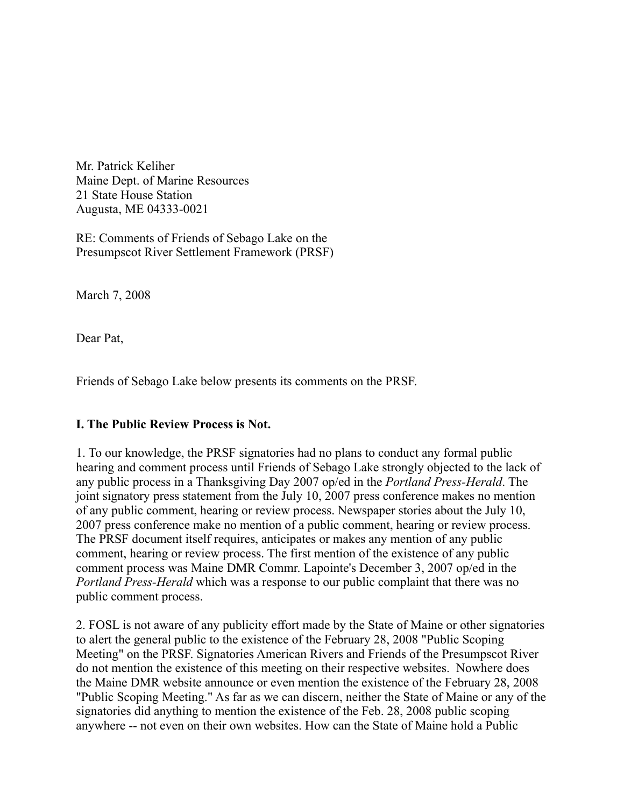Mr. Patrick Keliher Maine Dept. of Marine Resources 21 State House Station Augusta, ME 04333-0021

RE: Comments of Friends of Sebago Lake on the Presumpscot River Settlement Framework (PRSF)

March 7, 2008

Dear Pat,

Friends of Sebago Lake below presents its comments on the PRSF.

# **I. The Public Review Process is Not.**

1. To our knowledge, the PRSF signatories had no plans to conduct any formal public hearing and comment process until Friends of Sebago Lake strongly objected to the lack of any public process in a Thanksgiving Day 2007 op/ed in the *Portland Press-Herald*. The joint signatory press statement from the July 10, 2007 press conference makes no mention of any public comment, hearing or review process. Newspaper stories about the July 10, 2007 press conference make no mention of a public comment, hearing or review process. The PRSF document itself requires, anticipates or makes any mention of any public comment, hearing or review process. The first mention of the existence of any public comment process was Maine DMR Commr. Lapointe's December 3, 2007 op/ed in the *Portland Press-Herald* which was a response to our public complaint that there was no public comment process.

2. FOSL is not aware of any publicity effort made by the State of Maine or other signatories to alert the general public to the existence of the February 28, 2008 "Public Scoping Meeting" on the PRSF. Signatories American Rivers and Friends of the Presumpscot River do not mention the existence of this meeting on their respective websites. Nowhere does the Maine DMR website announce or even mention the existence of the February 28, 2008 "Public Scoping Meeting." As far as we can discern, neither the State of Maine or any of the signatories did anything to mention the existence of the Feb. 28, 2008 public scoping anywhere -- not even on their own websites. How can the State of Maine hold a Public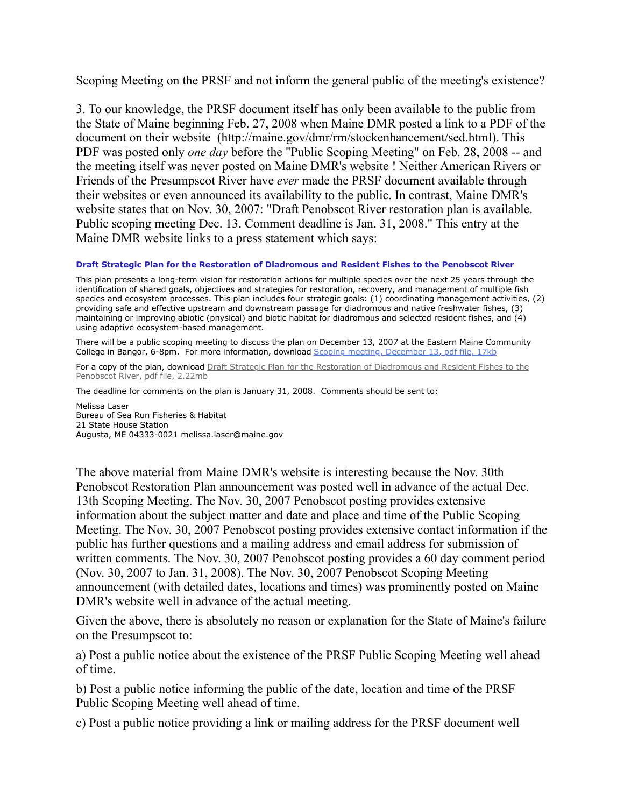Scoping Meeting on the PRSF and not inform the general public of the meeting's existence?

3. To our knowledge, the PRSF document itself has only been available to the public from the State of Maine beginning Feb. 27, 2008 when Maine DMR posted a link to a PDF of the document on their website (http://maine.gov/dmr/rm/stockenhancement/sed.html). This PDF was posted only *one day* before the "Public Scoping Meeting" on Feb. 28, 2008 -- and the meeting itself was never posted on Maine DMR's website ! Neither American Rivers or Friends of the Presumpscot River have *ever* made the PRSF document available through their websites or even announced its availability to the public. In contrast, Maine DMR's website states that on Nov. 30, 2007: "Draft Penobscot River restoration plan is available. Public scoping meeting Dec. 13. Comment deadline is Jan. 31, 2008." This entry at the Maine DMR website links to a press statement which says:

#### **Draft Strategic Plan for the Restoration of Diadromous and Resident Fishes to the Penobscot River**

This plan presents a long-term vision for restoration actions for multiple species over the next 25 years through the identification of shared goals, objectives and strategies for restoration, recovery, and management of multiple fish species and ecosystem processes. This plan includes four strategic goals: (1) coordinating management activities, (2) providing safe and effective upstream and downstream passage for diadromous and native freshwater fishes, (3) maintaining or improving abiotic (physical) and biotic habitat for diadromous and selected resident fishes, and (4) using adaptive ecosystem-based management.

There will be a public scoping meeting to discuss the plan on December 13, 2007 at the Eastern Maine Community College in Bangor, 6-8pm. For more information, download Scoping meeting, December 13, pdf file, 17kb

For a copy of the plan, download Draft Strategic Plan for the Restoration of Diadromous and Resident Fishes to the Penobscot River, pdf file, 2.22mb

The deadline for comments on the plan is January 31, 2008. Comments should be sent to:

Melissa Laser Bureau of Sea Run Fisheries & Habitat 21 State House Station Augusta, ME 04333-0021 melissa.laser@maine.gov

The above material from Maine DMR's website is interesting because the Nov. 30th Penobscot Restoration Plan announcement was posted well in advance of the actual Dec. 13th Scoping Meeting. The Nov. 30, 2007 Penobscot posting provides extensive information about the subject matter and date and place and time of the Public Scoping Meeting. The Nov. 30, 2007 Penobscot posting provides extensive contact information if the public has further questions and a mailing address and email address for submission of written comments. The Nov. 30, 2007 Penobscot posting provides a 60 day comment period (Nov. 30, 2007 to Jan. 31, 2008). The Nov. 30, 2007 Penobscot Scoping Meeting announcement (with detailed dates, locations and times) was prominently posted on Maine DMR's website well in advance of the actual meeting.

Given the above, there is absolutely no reason or explanation for the State of Maine's failure on the Presumpscot to:

a) Post a public notice about the existence of the PRSF Public Scoping Meeting well ahead of time.

b) Post a public notice informing the public of the date, location and time of the PRSF Public Scoping Meeting well ahead of time.

c) Post a public notice providing a link or mailing address for the PRSF document well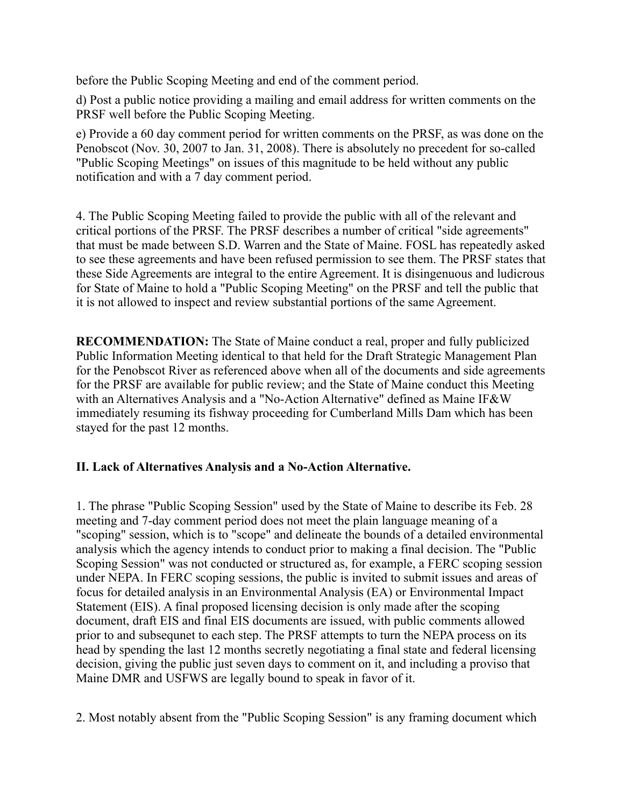before the Public Scoping Meeting and end of the comment period.

d) Post a public notice providing a mailing and email address for written comments on the PRSF well before the Public Scoping Meeting.

e) Provide a 60 day comment period for written comments on the PRSF, as was done on the Penobscot (Nov. 30, 2007 to Jan. 31, 2008). There is absolutely no precedent for so-called "Public Scoping Meetings" on issues of this magnitude to be held without any public notification and with a 7 day comment period.

4. The Public Scoping Meeting failed to provide the public with all of the relevant and critical portions of the PRSF. The PRSF describes a number of critical "side agreements" that must be made between S.D. Warren and the State of Maine. FOSL has repeatedly asked to see these agreements and have been refused permission to see them. The PRSF states that these Side Agreements are integral to the entire Agreement. It is disingenuous and ludicrous for State of Maine to hold a "Public Scoping Meeting" on the PRSF and tell the public that it is not allowed to inspect and review substantial portions of the same Agreement.

**RECOMMENDATION:** The State of Maine conduct a real, proper and fully publicized Public Information Meeting identical to that held for the Draft Strategic Management Plan for the Penobscot River as referenced above when all of the documents and side agreements for the PRSF are available for public review; and the State of Maine conduct this Meeting with an Alternatives Analysis and a "No-Action Alternative" defined as Maine IF&W immediately resuming its fishway proceeding for Cumberland Mills Dam which has been stayed for the past 12 months.

# **II. Lack of Alternatives Analysis and a No-Action Alternative.**

1. The phrase "Public Scoping Session" used by the State of Maine to describe its Feb. 28 meeting and 7-day comment period does not meet the plain language meaning of a "scoping" session, which is to "scope" and delineate the bounds of a detailed environmental analysis which the agency intends to conduct prior to making a final decision. The "Public Scoping Session" was not conducted or structured as, for example, a FERC scoping session under NEPA. In FERC scoping sessions, the public is invited to submit issues and areas of focus for detailed analysis in an Environmental Analysis (EA) or Environmental Impact Statement (EIS). A final proposed licensing decision is only made after the scoping document, draft EIS and final EIS documents are issued, with public comments allowed prior to and subsequnet to each step. The PRSF attempts to turn the NEPA process on its head by spending the last 12 months secretly negotiating a final state and federal licensing decision, giving the public just seven days to comment on it, and including a proviso that Maine DMR and USFWS are legally bound to speak in favor of it.

2. Most notably absent from the "Public Scoping Session" is any framing document which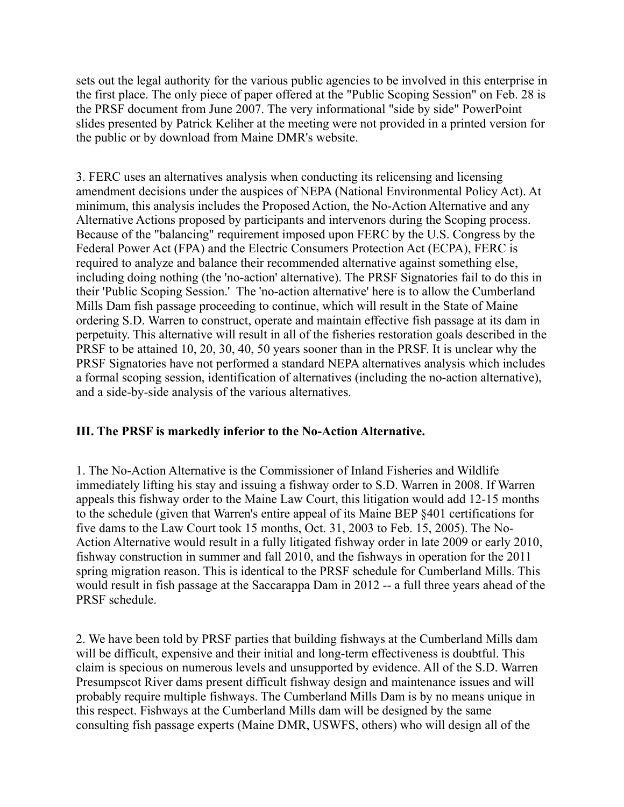sets out the legal authority for the various public agencies to be involved in this enterprise in the first place. The only piece of paper offered at the "Public Scoping Session" on Feb. 28 is the PRSF document from June 2007. The very informational "side by side" PowerPoint slides presented by Patrick Keliher at the meeting were not provided in a printed version for the public or by download from Maine DMR's website.

3. FERC uses an alternatives analysis when conducting its relicensing and licensing amendment decisions under the auspices of NEPA (National Environmental Policy Act). At minimum, this analysis includes the Proposed Action, the No-Action Alternative and any Alternative Actions proposed by participants and intervenors during the Scoping process. Because of the "balancing" requirement imposed upon FERC by the U.S. Congress by the Federal Power Act (FPA) and the Electric Consumers Protection Act (ECPA), FERC is required to analyze and balance their recommended alternative against something else, including doing nothing (the 'no-action' alternative). The PRSF Signatories fail to do this in their 'Public Scoping Session.' The 'no-action alternative' here is to allow the Cumberland Mills Dam fish passage proceeding to continue, which will result in the State of Maine ordering S.D. Warren to construct, operate and maintain effective fish passage at its dam in perpetuity. This alternative will result in all of the fisheries restoration goals described in the PRSF to be attained 10, 20, 30, 40, 50 years sooner than in the PRSF. It is unclear why the PRSF Signatories have not performed a standard NEPA alternatives analysis which includes a formal scoping session, identification of alternatives (including the no-action alternative), and a side-by-side analysis of the various alternatives.

# **III. The PRSF is markedly inferior to the No-Action Alternative.**

1. The No-Action Alternative is the Commissioner of Inland Fisheries and Wildlife immediately lifting his stay and issuing a fishway order to S.D. Warren in 2008. If Warren appeals this fishway order to the Maine Law Court, this litigation would add 12-15 months to the schedule (given that Warren's entire appeal of its Maine BEP §401 certifications for five dams to the Law Court took 15 months, Oct. 31, 2003 to Feb. 15, 2005). The No-Action Alternative would result in a fully litigated fishway order in late 2009 or early 2010, fishway construction in summer and fall 2010, and the fishways in operation for the 2011 spring migration reason. This is identical to the PRSF schedule for Cumberland Mills. This would result in fish passage at the Saccarappa Dam in 2012 -- a full three years ahead of the PRSF schedule.

2. We have been told by PRSF parties that building fishways at the Cumberland Mills dam will be difficult, expensive and their initial and long-term effectiveness is doubtful. This claim is specious on numerous levels and unsupported by evidence. All of the S.D. Warren Presumpscot River dams present difficult fishway design and maintenance issues and will probably require multiple fishways. The Cumberland Mills Dam is by no means unique in this respect. Fishways at the Cumberland Mills dam will be designed by the same consulting fish passage experts (Maine DMR, USWFS, others) who will design all of the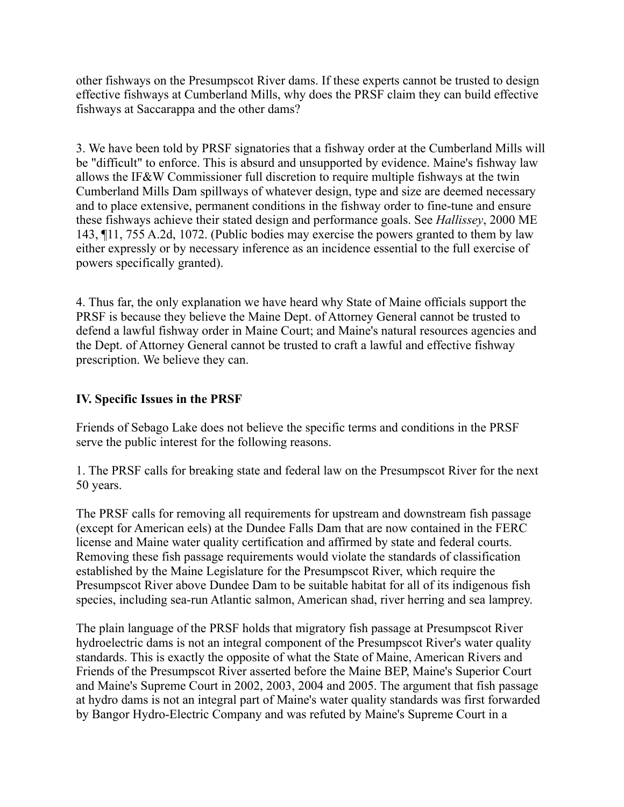other fishways on the Presumpscot River dams. If these experts cannot be trusted to design effective fishways at Cumberland Mills, why does the PRSF claim they can build effective fishways at Saccarappa and the other dams?

3. We have been told by PRSF signatories that a fishway order at the Cumberland Mills will be "difficult" to enforce. This is absurd and unsupported by evidence. Maine's fishway law allows the IF&W Commissioner full discretion to require multiple fishways at the twin Cumberland Mills Dam spillways of whatever design, type and size are deemed necessary and to place extensive, permanent conditions in the fishway order to fine-tune and ensure these fishways achieve their stated design and performance goals. See *Hallissey*, 2000 ME 143, ¶11, 755 A.2d, 1072. (Public bodies may exercise the powers granted to them by law either expressly or by necessary inference as an incidence essential to the full exercise of powers specifically granted).

4. Thus far, the only explanation we have heard why State of Maine officials support the PRSF is because they believe the Maine Dept. of Attorney General cannot be trusted to defend a lawful fishway order in Maine Court; and Maine's natural resources agencies and the Dept. of Attorney General cannot be trusted to craft a lawful and effective fishway prescription. We believe they can.

#### **IV. Specific Issues in the PRSF**

Friends of Sebago Lake does not believe the specific terms and conditions in the PRSF serve the public interest for the following reasons.

1. The PRSF calls for breaking state and federal law on the Presumpscot River for the next 50 years.

The PRSF calls for removing all requirements for upstream and downstream fish passage (except for American eels) at the Dundee Falls Dam that are now contained in the FERC license and Maine water quality certification and affirmed by state and federal courts. Removing these fish passage requirements would violate the standards of classification established by the Maine Legislature for the Presumpscot River, which require the Presumpscot River above Dundee Dam to be suitable habitat for all of its indigenous fish species, including sea-run Atlantic salmon, American shad, river herring and sea lamprey.

The plain language of the PRSF holds that migratory fish passage at Presumpscot River hydroelectric dams is not an integral component of the Presumpscot River's water quality standards. This is exactly the opposite of what the State of Maine, American Rivers and Friends of the Presumpscot River asserted before the Maine BEP, Maine's Superior Court and Maine's Supreme Court in 2002, 2003, 2004 and 2005. The argument that fish passage at hydro dams is not an integral part of Maine's water quality standards was first forwarded by Bangor Hydro-Electric Company and was refuted by Maine's Supreme Court in a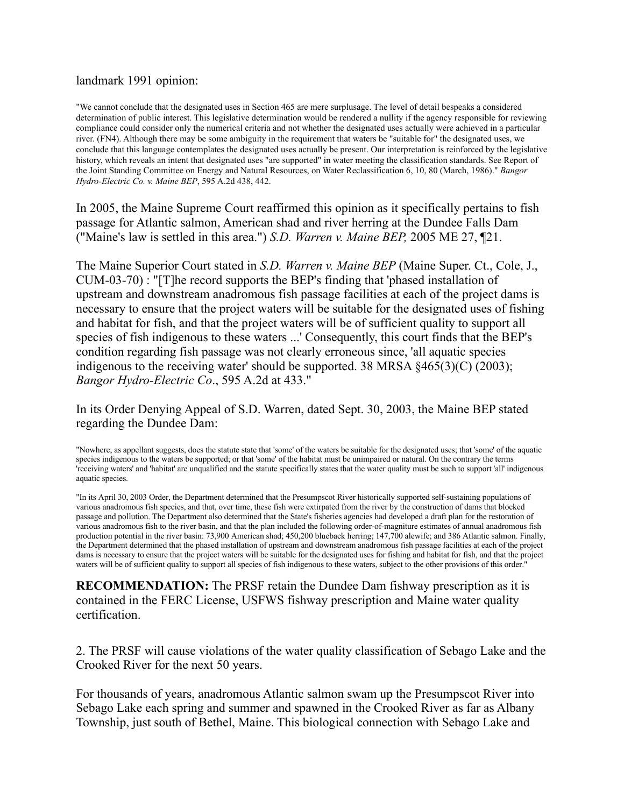#### landmark 1991 opinion:

"We cannot conclude that the designated uses in Section 465 are mere surplusage. The level of detail bespeaks a considered determination of public interest. This legislative determination would be rendered a nullity if the agency responsible for reviewing compliance could consider only the numerical criteria and not whether the designated uses actually were achieved in a particular river. (FN4). Although there may be some ambiguity in the requirement that waters be "suitable for" the designated uses, we conclude that this language contemplates the designated uses actually be present. Our interpretation is reinforced by the legislative history, which reveals an intent that designated uses "are supported" in water meeting the classification standards. See Report of the Joint Standing Committee on Energy and Natural Resources, on Water Reclassification 6, 10, 80 (March, 1986)." *Bangor Hydro-Electric Co. v. Maine BEP*, 595 A.2d 438, 442.

In 2005, the Maine Supreme Court reaffirmed this opinion as it specifically pertains to fish passage for Atlantic salmon, American shad and river herring at the Dundee Falls Dam ("Maine's law is settled in this area.") *S.D. Warren v. Maine BEP,* 2005 ME 27, ¶21.

The Maine Superior Court stated in *S.D. Warren v. Maine BEP* (Maine Super. Ct., Cole, J., CUM-03-70) : "[T]he record supports the BEP's finding that 'phased installation of upstream and downstream anadromous fish passage facilities at each of the project dams is necessary to ensure that the project waters will be suitable for the designated uses of fishing and habitat for fish, and that the project waters will be of sufficient quality to support all species of fish indigenous to these waters ...' Consequently, this court finds that the BEP's condition regarding fish passage was not clearly erroneous since, 'all aquatic species indigenous to the receiving water' should be supported. 38 MRSA §465(3)(C) (2003); *Bangor Hydro-Electric Co*., 595 A.2d at 433."

In its Order Denying Appeal of S.D. Warren, dated Sept. 30, 2003, the Maine BEP stated regarding the Dundee Dam:

"Nowhere, as appellant suggests, does the statute state that 'some' of the waters be suitable for the designated uses; that 'some' of the aquatic species indigenous to the waters be supported; or that 'some' of the habitat must be unimpaired or natural. On the contrary the terms 'receiving waters' and 'habitat' are unqualified and the statute specifically states that the water quality must be such to support 'all' indigenous aquatic species.

"In its April 30, 2003 Order, the Department determined that the Presumpscot River historically supported self-sustaining populations of various anadromous fish species, and that, over time, these fish were extirpated from the river by the construction of dams that blocked passage and pollution. The Department also determined that the State's fisheries agencies had developed a draft plan for the restoration of various anadromous fish to the river basin, and that the plan included the following order-of-magniture estimates of annual anadromous fish production potential in the river basin: 73,900 American shad; 450,200 blueback herring; 147,700 alewife; and 386 Atlantic salmon. Finally, the Department determined that the phased installation of upstream and downstream anadromous fish passage facilities at each of the project dams is necessary to ensure that the project waters will be suitable for the designated uses for fishing and habitat for fish, and that the project waters will be of sufficient quality to support all species of fish indigenous to these waters, subject to the other provisions of this order."

**RECOMMENDATION:** The PRSF retain the Dundee Dam fishway prescription as it is contained in the FERC License, USFWS fishway prescription and Maine water quality certification.

2. The PRSF will cause violations of the water quality classification of Sebago Lake and the Crooked River for the next 50 years.

For thousands of years, anadromous Atlantic salmon swam up the Presumpscot River into Sebago Lake each spring and summer and spawned in the Crooked River as far as Albany Township, just south of Bethel, Maine. This biological connection with Sebago Lake and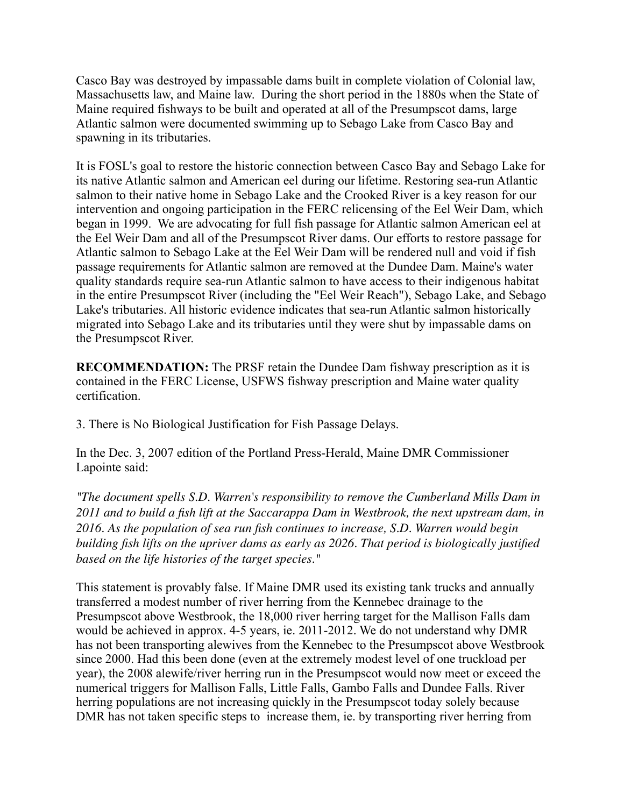Casco Bay was destroyed by impassable dams built in complete violation of Colonial law, Massachusetts law, and Maine law. During the short period in the 1880s when the State of Maine required fishways to be built and operated at all of the Presumpscot dams, large Atlantic salmon were documented swimming up to Sebago Lake from Casco Bay and spawning in its tributaries.

It is FOSL's goal to restore the historic connection between Casco Bay and Sebago Lake for its native Atlantic salmon and American eel during our lifetime. Restoring sea-run Atlantic salmon to their native home in Sebago Lake and the Crooked River is a key reason for our intervention and ongoing participation in the FERC relicensing of the Eel Weir Dam, which began in 1999. We are advocating for full fish passage for Atlantic salmon American eel at the Eel Weir Dam and all of the Presumpscot River dams. Our efforts to restore passage for Atlantic salmon to Sebago Lake at the Eel Weir Dam will be rendered null and void if fish passage requirements for Atlantic salmon are removed at the Dundee Dam. Maine's water quality standards require sea-run Atlantic salmon to have access to their indigenous habitat in the entire Presumpscot River (including the "Eel Weir Reach"), Sebago Lake, and Sebago Lake's tributaries. All historic evidence indicates that sea-run Atlantic salmon historically migrated into Sebago Lake and its tributaries until they were shut by impassable dams on the Presumpscot River.

**RECOMMENDATION:** The PRSF retain the Dundee Dam fishway prescription as it is contained in the FERC License, USFWS fishway prescription and Maine water quality certification.

3. There is No Biological Justification for Fish Passage Delays.

In the Dec. 3, 2007 edition of the Portland Press-Herald, Maine DMR Commissioner Lapointe said:

*"The document spells S.D. Warren's responsibility to remove the Cumberland Mills Dam in 2011 and to build a fish lift at the Saccarappa Dam in Westbrook, the next upstream dam, in 2016. As the population of sea run fish continues to increase, S.D. Warren would begin building fish lifts on the upriver dams as early as 2026. That period is biologically justified based on the life histories of the target species."*

This statement is provably false. If Maine DMR used its existing tank trucks and annually transferred a modest number of river herring from the Kennebec drainage to the Presumpscot above Westbrook, the 18,000 river herring target for the Mallison Falls dam would be achieved in approx. 4-5 years, ie. 2011-2012. We do not understand why DMR has not been transporting alewives from the Kennebec to the Presumpscot above Westbrook since 2000. Had this been done (even at the extremely modest level of one truckload per year), the 2008 alewife/river herring run in the Presumpscot would now meet or exceed the numerical triggers for Mallison Falls, Little Falls, Gambo Falls and Dundee Falls. River herring populations are not increasing quickly in the Presumpscot today solely because DMR has not taken specific steps to increase them, ie. by transporting river herring from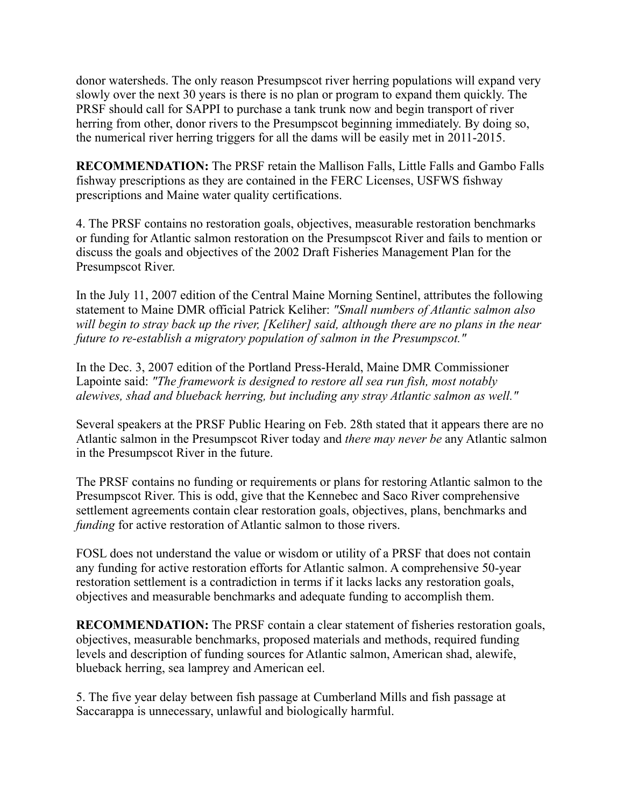donor watersheds. The only reason Presumpscot river herring populations will expand very slowly over the next 30 years is there is no plan or program to expand them quickly. The PRSF should call for SAPPI to purchase a tank trunk now and begin transport of river herring from other, donor rivers to the Presumpscot beginning immediately. By doing so, the numerical river herring triggers for all the dams will be easily met in 2011-2015.

**RECOMMENDATION:** The PRSF retain the Mallison Falls, Little Falls and Gambo Falls fishway prescriptions as they are contained in the FERC Licenses, USFWS fishway prescriptions and Maine water quality certifications.

4. The PRSF contains no restoration goals, objectives, measurable restoration benchmarks or funding for Atlantic salmon restoration on the Presumpscot River and fails to mention or discuss the goals and objectives of the 2002 Draft Fisheries Management Plan for the Presumpscot River.

In the July 11, 2007 edition of the Central Maine Morning Sentinel, attributes the following statement to Maine DMR official Patrick Keliher: *"Small numbers of Atlantic salmon also will begin to stray back up the river, [Keliher] said, although there are no plans in the near future to re-establish a migratory population of salmon in the Presumpscot."* 

In the Dec. 3, 2007 edition of the Portland Press-Herald, Maine DMR Commissioner Lapointe said: *"The framework is designed to restore all sea run fish, most notably alewives, shad and blueback herring, but including any stray Atlantic salmon as well."*

Several speakers at the PRSF Public Hearing on Feb. 28th stated that it appears there are no Atlantic salmon in the Presumpscot River today and *there may never be* any Atlantic salmon in the Presumpscot River in the future.

The PRSF contains no funding or requirements or plans for restoring Atlantic salmon to the Presumpscot River. This is odd, give that the Kennebec and Saco River comprehensive settlement agreements contain clear restoration goals, objectives, plans, benchmarks and *funding* for active restoration of Atlantic salmon to those rivers.

FOSL does not understand the value or wisdom or utility of a PRSF that does not contain any funding for active restoration efforts for Atlantic salmon. A comprehensive 50-year restoration settlement is a contradiction in terms if it lacks lacks any restoration goals, objectives and measurable benchmarks and adequate funding to accomplish them.

**RECOMMENDATION:** The PRSF contain a clear statement of fisheries restoration goals, objectives, measurable benchmarks, proposed materials and methods, required funding levels and description of funding sources for Atlantic salmon, American shad, alewife, blueback herring, sea lamprey and American eel.

5. The five year delay between fish passage at Cumberland Mills and fish passage at Saccarappa is unnecessary, unlawful and biologically harmful.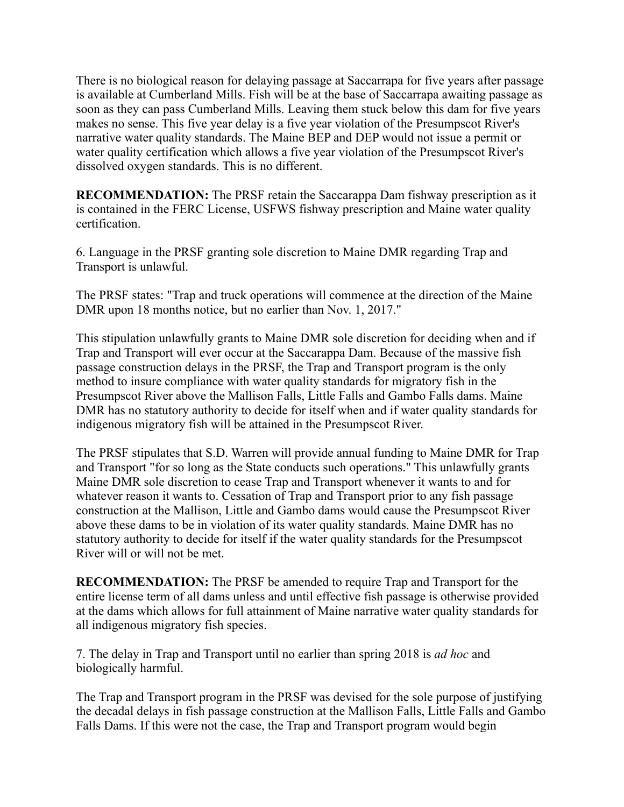There is no biological reason for delaying passage at Saccarrapa for five years after passage is available at Cumberland Mills. Fish will be at the base of Saccarrapa awaiting passage as soon as they can pass Cumberland Mills. Leaving them stuck below this dam for five years makes no sense. This five year delay is a five year violation of the Presumpscot River's narrative water quality standards. The Maine BEP and DEP would not issue a permit or water quality certification which allows a five year violation of the Presumpscot River's dissolved oxygen standards. This is no different.

**RECOMMENDATION:** The PRSF retain the Saccarappa Dam fishway prescription as it is contained in the FERC License, USFWS fishway prescription and Maine water quality certification.

6. Language in the PRSF granting sole discretion to Maine DMR regarding Trap and Transport is unlawful.

The PRSF states: "Trap and truck operations will commence at the direction of the Maine DMR upon 18 months notice, but no earlier than Nov. 1, 2017."

This stipulation unlawfully grants to Maine DMR sole discretion for deciding when and if Trap and Transport will ever occur at the Saccarappa Dam. Because of the massive fish passage construction delays in the PRSF, the Trap and Transport program is the only method to insure compliance with water quality standards for migratory fish in the Presumpscot River above the Mallison Falls, Little Falls and Gambo Falls dams. Maine DMR has no statutory authority to decide for itself when and if water quality standards for indigenous migratory fish will be attained in the Presumpscot River.

The PRSF stipulates that S.D. Warren will provide annual funding to Maine DMR for Trap and Transport "for so long as the State conducts such operations." This unlawfully grants Maine DMR sole discretion to cease Trap and Transport whenever it wants to and for whatever reason it wants to. Cessation of Trap and Transport prior to any fish passage construction at the Mallison, Little and Gambo dams would cause the Presumpscot River above these dams to be in violation of its water quality standards. Maine DMR has no statutory authority to decide for itself if the water quality standards for the Presumpscot River will or will not be met.

**RECOMMENDATION:** The PRSF be amended to require Trap and Transport for the entire license term of all dams unless and until effective fish passage is otherwise provided at the dams which allows for full attainment of Maine narrative water quality standards for all indigenous migratory fish species.

7. The delay in Trap and Transport until no earlier than spring 2018 is *ad hoc* and biologically harmful.

The Trap and Transport program in the PRSF was devised for the sole purpose of justifying the decadal delays in fish passage construction at the Mallison Falls, Little Falls and Gambo Falls Dams. If this were not the case, the Trap and Transport program would begin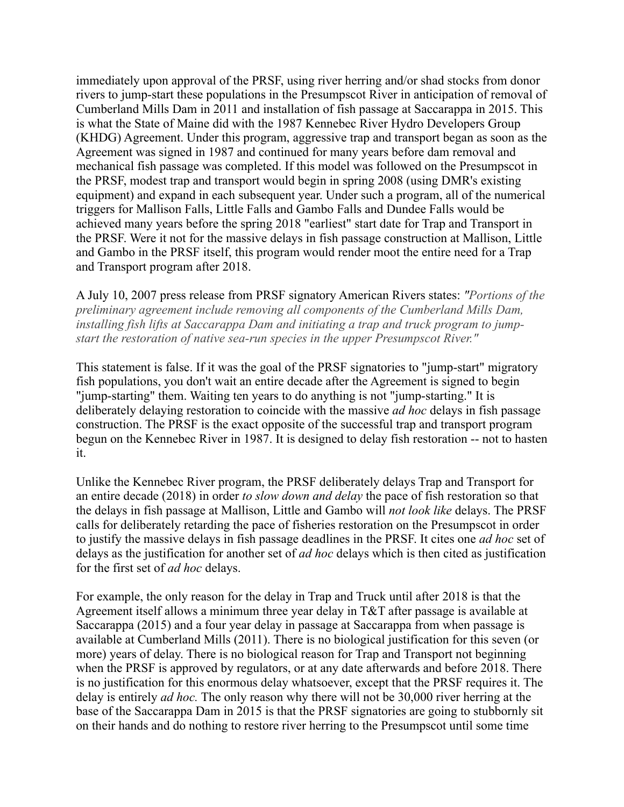immediately upon approval of the PRSF, using river herring and/or shad stocks from donor rivers to jump-start these populations in the Presumpscot River in anticipation of removal of Cumberland Mills Dam in 2011 and installation of fish passage at Saccarappa in 2015. This is what the State of Maine did with the 1987 Kennebec River Hydro Developers Group (KHDG) Agreement. Under this program, aggressive trap and transport began as soon as the Agreement was signed in 1987 and continued for many years before dam removal and mechanical fish passage was completed. If this model was followed on the Presumpscot in the PRSF, modest trap and transport would begin in spring 2008 (using DMR's existing equipment) and expand in each subsequent year. Under such a program, all of the numerical triggers for Mallison Falls, Little Falls and Gambo Falls and Dundee Falls would be achieved many years before the spring 2018 "earliest" start date for Trap and Transport in the PRSF. Were it not for the massive delays in fish passage construction at Mallison, Little and Gambo in the PRSF itself, this program would render moot the entire need for a Trap and Transport program after 2018.

A July 10, 2007 press release from PRSF signatory American Rivers states: *"Portions of the preliminary agreement include removing all components of the Cumberland Mills Dam, installing fish lifts at Saccarappa Dam and initiating a trap and truck program to jumpstart the restoration of native sea-run species in the upper Presumpscot River."*

This statement is false. If it was the goal of the PRSF signatories to "jump-start" migratory fish populations, you don't wait an entire decade after the Agreement is signed to begin "jump-starting" them. Waiting ten years to do anything is not "jump-starting." It is deliberately delaying restoration to coincide with the massive *ad hoc* delays in fish passage construction. The PRSF is the exact opposite of the successful trap and transport program begun on the Kennebec River in 1987. It is designed to delay fish restoration -- not to hasten it.

Unlike the Kennebec River program, the PRSF deliberately delays Trap and Transport for an entire decade (2018) in order *to slow down and delay* the pace of fish restoration so that the delays in fish passage at Mallison, Little and Gambo will *not look like* delays. The PRSF calls for deliberately retarding the pace of fisheries restoration on the Presumpscot in order to justify the massive delays in fish passage deadlines in the PRSF. It cites one *ad hoc* set of delays as the justification for another set of *ad hoc* delays which is then cited as justification for the first set of *ad hoc* delays.

For example, the only reason for the delay in Trap and Truck until after 2018 is that the Agreement itself allows a minimum three year delay in T&T after passage is available at Saccarappa (2015) and a four year delay in passage at Saccarappa from when passage is available at Cumberland Mills (2011). There is no biological justification for this seven (or more) years of delay. There is no biological reason for Trap and Transport not beginning when the PRSF is approved by regulators, or at any date afterwards and before 2018. There is no justification for this enormous delay whatsoever, except that the PRSF requires it. The delay is entirely *ad hoc.* The only reason why there will not be 30,000 river herring at the base of the Saccarappa Dam in 2015 is that the PRSF signatories are going to stubbornly sit on their hands and do nothing to restore river herring to the Presumpscot until some time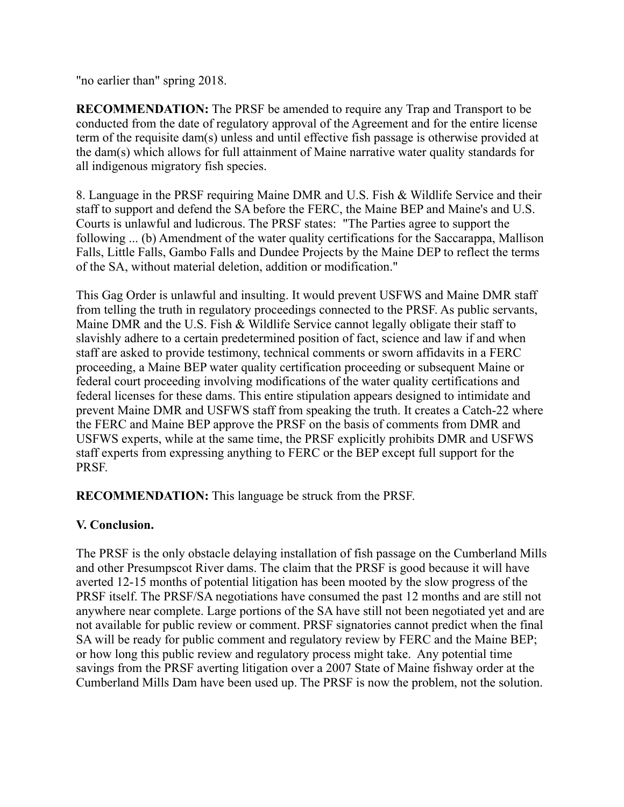"no earlier than" spring 2018.

**RECOMMENDATION:** The PRSF be amended to require any Trap and Transport to be conducted from the date of regulatory approval of the Agreement and for the entire license term of the requisite dam(s) unless and until effective fish passage is otherwise provided at the dam(s) which allows for full attainment of Maine narrative water quality standards for all indigenous migratory fish species.

8. Language in the PRSF requiring Maine DMR and U.S. Fish & Wildlife Service and their staff to support and defend the SA before the FERC, the Maine BEP and Maine's and U.S. Courts is unlawful and ludicrous. The PRSF states: "The Parties agree to support the following ... (b) Amendment of the water quality certifications for the Saccarappa, Mallison Falls, Little Falls, Gambo Falls and Dundee Projects by the Maine DEP to reflect the terms of the SA, without material deletion, addition or modification."

This Gag Order is unlawful and insulting. It would prevent USFWS and Maine DMR staff from telling the truth in regulatory proceedings connected to the PRSF. As public servants, Maine DMR and the U.S. Fish & Wildlife Service cannot legally obligate their staff to slavishly adhere to a certain predetermined position of fact, science and law if and when staff are asked to provide testimony, technical comments or sworn affidavits in a FERC proceeding, a Maine BEP water quality certification proceeding or subsequent Maine or federal court proceeding involving modifications of the water quality certifications and federal licenses for these dams. This entire stipulation appears designed to intimidate and prevent Maine DMR and USFWS staff from speaking the truth. It creates a Catch-22 where the FERC and Maine BEP approve the PRSF on the basis of comments from DMR and USFWS experts, while at the same time, the PRSF explicitly prohibits DMR and USFWS staff experts from expressing anything to FERC or the BEP except full support for the PRSF.

**RECOMMENDATION:** This language be struck from the PRSF.

# **V. Conclusion.**

The PRSF is the only obstacle delaying installation of fish passage on the Cumberland Mills and other Presumpscot River dams. The claim that the PRSF is good because it will have averted 12-15 months of potential litigation has been mooted by the slow progress of the PRSF itself. The PRSF/SA negotiations have consumed the past 12 months and are still not anywhere near complete. Large portions of the SA have still not been negotiated yet and are not available for public review or comment. PRSF signatories cannot predict when the final SA will be ready for public comment and regulatory review by FERC and the Maine BEP; or how long this public review and regulatory process might take. Any potential time savings from the PRSF averting litigation over a 2007 State of Maine fishway order at the Cumberland Mills Dam have been used up. The PRSF is now the problem, not the solution.